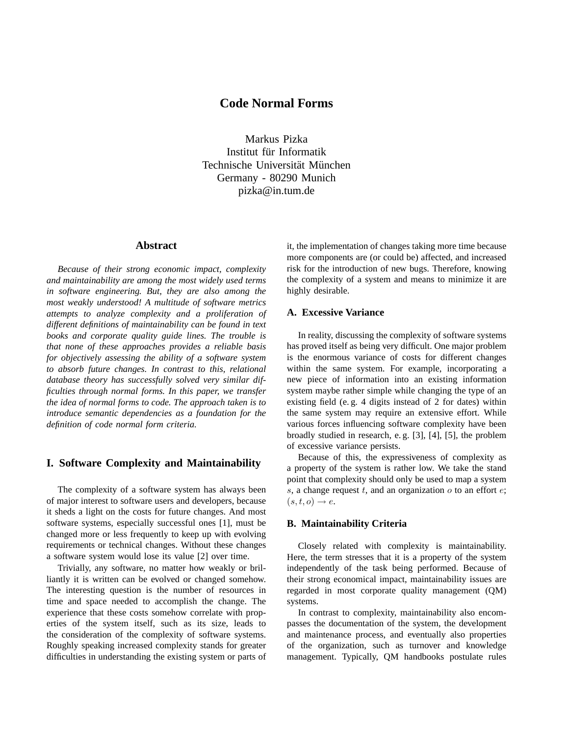# **Code Normal Forms**

Markus Pizka Institut für Informatik Technische Universität München Germany - 80290 Munich pizka@in.tum.de

# **Abstract**

*Because of their strong economic impact, complexity and maintainability are among the most widely used terms in software engineering. But, they are also among the most weakly understood! A multitude of software metrics attempts to analyze complexity and a proliferation of different definitions of maintainability can be found in text books and corporate quality guide lines. The trouble is that none of these approaches provides a reliable basis for objectively assessing the ability of a software system to absorb future changes. In contrast to this, relational database theory has successfully solved very similar difficulties through normal forms. In this paper, we transfer the idea of normal forms to code. The approach taken is to introduce semantic dependencies as a foundation for the definition of code normal form criteria.*

# **I. Software Complexity and Maintainability**

The complexity of a software system has always been of major interest to software users and developers, because it sheds a light on the costs for future changes. And most software systems, especially successful ones [1], must be changed more or less frequently to keep up with evolving requirements or technical changes. Without these changes a software system would lose its value [2] over time.

Trivially, any software, no matter how weakly or brilliantly it is written can be evolved or changed somehow. The interesting question is the number of resources in time and space needed to accomplish the change. The experience that these costs somehow correlate with properties of the system itself, such as its size, leads to the consideration of the complexity of software systems. Roughly speaking increased complexity stands for greater difficulties in understanding the existing system or parts of it, the implementation of changes taking more time because more components are (or could be) affected, and increased risk for the introduction of new bugs. Therefore, knowing the complexity of a system and means to minimize it are highly desirable.

# **A. Excessive Variance**

In reality, discussing the complexity of software systems has proved itself as being very difficult. One major problem is the enormous variance of costs for different changes within the same system. For example, incorporating a new piece of information into an existing information system maybe rather simple while changing the type of an existing field (e. g. 4 digits instead of 2 for dates) within the same system may require an extensive effort. While various forces influencing software complexity have been broadly studied in research, e. g. [3], [4], [5], the problem of excessive variance persists.

Because of this, the expressiveness of complexity as a property of the system is rather low. We take the stand point that complexity should only be used to map a system s, a change request  $t$ , and an organization  $o$  to an effort  $e$ ;  $(s, t, o) \rightarrow e.$ 

### **B. Maintainability Criteria**

Closely related with complexity is maintainability. Here, the term stresses that it is a property of the system independently of the task being performed. Because of their strong economical impact, maintainability issues are regarded in most corporate quality management (QM) systems.

In contrast to complexity, maintainability also encompasses the documentation of the system, the development and maintenance process, and eventually also properties of the organization, such as turnover and knowledge management. Typically, QM handbooks postulate rules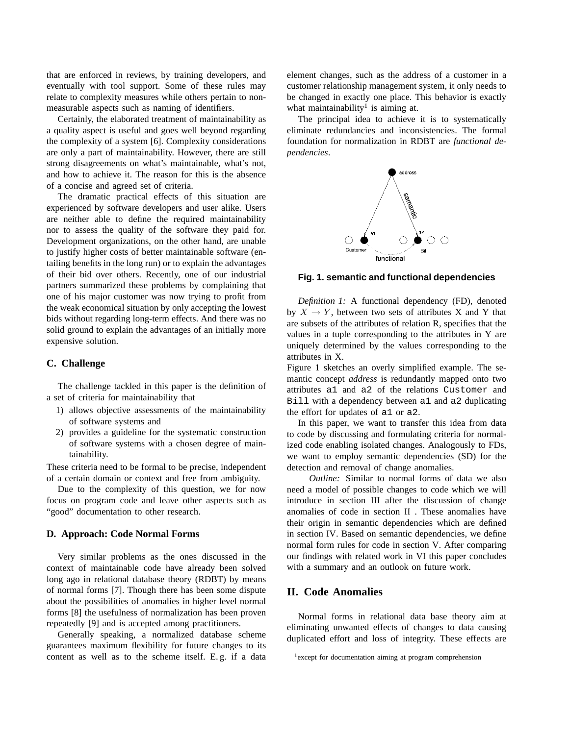that are enforced in reviews, by training developers, and eventually with tool support. Some of these rules may relate to complexity measures while others pertain to nonmeasurable aspects such as naming of identifiers.

Certainly, the elaborated treatment of maintainability as a quality aspect is useful and goes well beyond regarding the complexity of a system [6]. Complexity considerations are only a part of maintainability. However, there are still strong disagreements on what's maintainable, what's not, and how to achieve it. The reason for this is the absence of a concise and agreed set of criteria.

The dramatic practical effects of this situation are experienced by software developers and user alike. Users are neither able to define the required maintainability nor to assess the quality of the software they paid for. Development organizations, on the other hand, are unable to justify higher costs of better maintainable software (entailing benefits in the long run) or to explain the advantages of their bid over others. Recently, one of our industrial partners summarized these problems by complaining that one of his major customer was now trying to profit from the weak economical situation by only accepting the lowest bids without regarding long-term effects. And there was no solid ground to explain the advantages of an initially more expensive solution.

## **C. Challenge**

The challenge tackled in this paper is the definition of a set of criteria for maintainability that

- 1) allows objective assessments of the maintainability of software systems and
- 2) provides a guideline for the systematic construction of software systems with a chosen degree of maintainability.

These criteria need to be formal to be precise, independent of a certain domain or context and free from ambiguity.

Due to the complexity of this question, we for now focus on program code and leave other aspects such as "good" documentation to other research.

#### **D. Approach: Code Normal Forms**

Very similar problems as the ones discussed in the context of maintainable code have already been solved long ago in relational database theory (RDBT) by means of normal forms [7]. Though there has been some dispute about the possibilities of anomalies in higher level normal forms [8] the usefulness of normalization has been proven repeatedly [9] and is accepted among practitioners.

Generally speaking, a normalized database scheme guarantees maximum flexibility for future changes to its content as well as to the scheme itself. E. g. if a data element changes, such as the address of a customer in a customer relationship management system, it only needs to be changed in exactly one place. This behavior is exactly what maintainability<sup>1</sup> is aiming at.

The principal idea to achieve it is to systematically eliminate redundancies and inconsistencies. The formal foundation for normalization in RDBT are *functional dependencies*.



**Fig. 1. semantic and functional dependencies**

*Definition 1:* A functional dependency (FD), denoted by  $X \to Y$ , between two sets of attributes X and Y that are subsets of the attributes of relation R, specifies that the values in a tuple corresponding to the attributes in Y are uniquely determined by the values corresponding to the attributes in X.

Figure 1 sketches an overly simplified example. The semantic concept *address* is redundantly mapped onto two attributes a1 and a2 of the relations Customer and Bill with a dependency between a1 and a2 duplicating the effort for updates of a1 or a2.

In this paper, we want to transfer this idea from data to code by discussing and formulating criteria for normalized code enabling isolated changes. Analogously to FDs, we want to employ semantic dependencies (SD) for the detection and removal of change anomalies.

*Outline:* Similar to normal forms of data we also need a model of possible changes to code which we will introduce in section III after the discussion of change anomalies of code in section II . These anomalies have their origin in semantic dependencies which are defined in section IV. Based on semantic dependencies, we define normal form rules for code in section V. After comparing our findings with related work in VI this paper concludes with a summary and an outlook on future work.

# **II. Code Anomalies**

Normal forms in relational data base theory aim at eliminating unwanted effects of changes to data causing duplicated effort and loss of integrity. These effects are

<sup>&</sup>lt;sup>1</sup> except for documentation aiming at program comprehension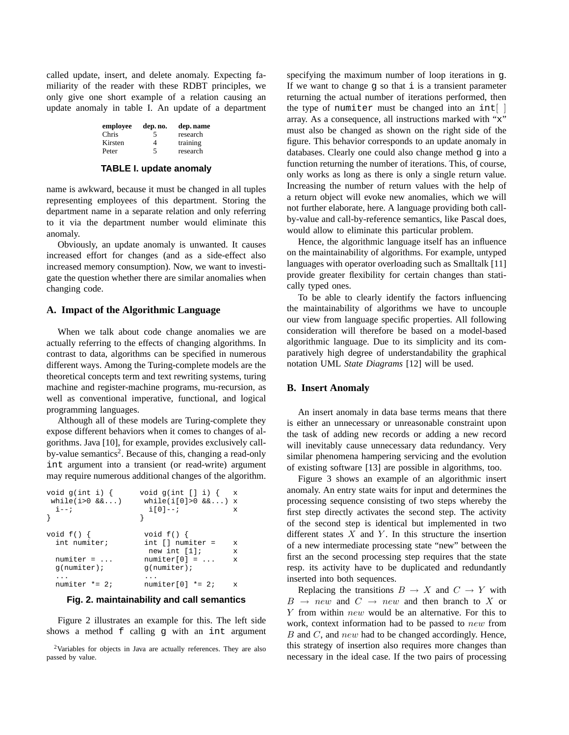called update, insert, and delete anomaly. Expecting familiarity of the reader with these RDBT principles, we only give one short example of a relation causing an update anomaly in table I. An update of a department

| employee | dep. no. | dep. name |
|----------|----------|-----------|
| Chris    | 5        | research  |
| Kirsten  | 4        | training  |
| Peter    | 5        | research  |

#### **TABLE I. update anomaly**

name is awkward, because it must be changed in all tuples representing employees of this department. Storing the department name in a separate relation and only referring to it via the department number would eliminate this anomaly.

Obviously, an update anomaly is unwanted. It causes increased effort for changes (and as a side-effect also increased memory consumption). Now, we want to investigate the question whether there are similar anomalies when changing code.

#### **A. Impact of the Algorithmic Language**

When we talk about code change anomalies we are actually referring to the effects of changing algorithms. In contrast to data, algorithms can be specified in numerous different ways. Among the Turing-complete models are the theoretical concepts term and text rewriting systems, turing machine and register-machine programs, mu-recursion, as well as conventional imperative, functional, and logical programming languages.

Although all of these models are Turing-complete they expose different behaviors when it comes to changes of algorithms. Java [10], for example, provides exclusively callby-value semantics<sup>2</sup>. Because of this, changing a read-only int argument into a transient (or read-write) argument may require numerous additional changes of the algorithm.

| void $q(int i)$ {<br>while( $i>0$ & $\&$ )<br>$i - i$ | void $q(int [] i)$ {<br>$while(i[0]>0 \&&)$<br>$i[0]--i$ | х<br>$\mathbf{x}$<br>x |
|-------------------------------------------------------|----------------------------------------------------------|------------------------|
| void $f() \{$<br>int numiter;                         | void $f() \{$<br>$int []$ numiter =                      | x                      |
|                                                       | new int $[1]$ ;                                          | x                      |
| $number =$<br>$q(numiter)$ ;                          | $number[0] = $<br>$q(numiter)$ ;                         | x                      |
| $number * = 2;$                                       | numiter[0] $*= 2i$                                       | x                      |

#### **Fig. 2. maintainability and call semantics**

Figure 2 illustrates an example for this. The left side shows a method f calling g with an int argument specifying the maximum number of loop iterations in g. If we want to change  $\sigma$  so that i is a transient parameter returning the actual number of iterations performed, then the type of numiter must be changed into an int $[$ array. As a consequence, all instructions marked with "x" must also be changed as shown on the right side of the figure. This behavior corresponds to an update anomaly in databases. Clearly one could also change method g into a function returning the number of iterations. This, of course, only works as long as there is only a single return value. Increasing the number of return values with the help of a return object will evoke new anomalies, which we will not further elaborate, here. A language providing both callby-value and call-by-reference semantics, like Pascal does, would allow to eliminate this particular problem.

Hence, the algorithmic language itself has an influence on the maintainability of algorithms. For example, untyped languages with operator overloading such as Smalltalk [11] provide greater flexibility for certain changes than statically typed ones.

To be able to clearly identify the factors influencing the maintainability of algorithms we have to uncouple our view from language specific properties. All following consideration will therefore be based on a model-based algorithmic language. Due to its simplicity and its comparatively high degree of understandability the graphical notation UML *State Diagrams* [12] will be used.

## **B. Insert Anomaly**

An insert anomaly in data base terms means that there is either an unnecessary or unreasonable constraint upon the task of adding new records or adding a new record will inevitably cause unnecessary data redundancy. Very similar phenomena hampering servicing and the evolution of existing software [13] are possible in algorithms, too.

Figure 3 shows an example of an algorithmic insert anomaly. An entry state waits for input and determines the processing sequence consisting of two steps whereby the first step directly activates the second step. The activity of the second step is identical but implemented in two different states  $X$  and  $Y$ . In this structure the insertion of a new intermediate processing state "new" between the first an the second processing step requires that the state resp. its activity have to be duplicated and redundantly inserted into both sequences.

Replacing the transitions  $B \to X$  and  $C \to Y$  with  $B \rightarrow new$  and  $C \rightarrow new$  and then branch to X or Y from within new would be an alternative. For this to work, context information had to be passed to new from B and C, and new had to be changed accordingly. Hence, this strategy of insertion also requires more changes than necessary in the ideal case. If the two pairs of processing

<sup>2</sup>Variables for objects in Java are actually references. They are also passed by value.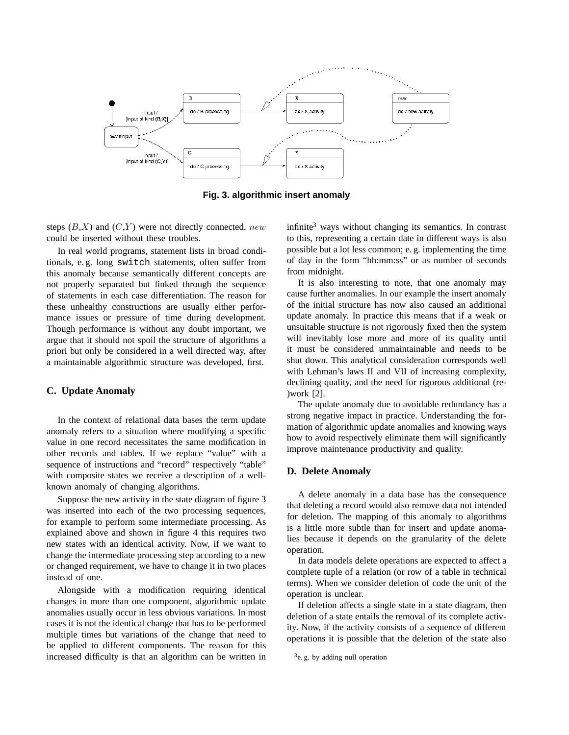

**Fig. 3. algorithmic insert anomaly**

steps  $(B,X)$  and  $(C,Y)$  were not directly connected, new could be inserted without these troubles.

In real world programs, statement lists in broad conditionals, e. g. long switch statements, often suffer from this anomaly because semantically different concepts are not properly separated but linked through the sequence of statements in each case differentiation. The reason for these unhealthy constructions are usually either performance issues or pressure of time during development. Though performance is without any doubt important, we argue that it should not spoil the structure of algorithms a priori but only be considered in a well directed way, after a maintainable algorithmic structure was developed, first.

### **C. Update Anomaly**

In the context of relational data bases the term update anomaly refers to a situation where modifying a specific value in one record necessitates the same modification in other records and tables. If we replace "value" with a sequence of instructions and "record" respectively "table" with composite states we receive a description of a wellknown anomaly of changing algorithms.

Suppose the new activity in the state diagram of figure 3 was inserted into each of the two processing sequences, for example to perform some intermediate processing. As explained above and shown in figure 4 this requires two new states with an identical activity. Now, if we want to change the intermediate processing step according to a new or changed requirement, we have to change it in two places instead of one.

Alongside with a modification requiring identical changes in more than one component, algorithmic update anomalies usually occur in less obvious variations. In most cases it is not the identical change that has to be performed multiple times but variations of the change that need to be applied to different components. The reason for this increased difficulty is that an algorithm can be written in infinite<sup>3</sup> ways without changing its semantics. In contrast to this, representing a certain date in different ways is also possible but a lot less common; e. g. implementing the time of day in the form "hh:mm:ss" or as number of seconds from midnight.

It is also interesting to note, that one anomaly may cause further anomalies. In our example the insert anomaly of the initial structure has now also caused an additional update anomaly. In practice this means that if a weak or unsuitable structure is not rigorously fixed then the system will inevitably lose more and more of its quality until it must be considered unmaintainable and needs to be shut down. This analytical consideration corresponds well with Lehman's laws II and VII of increasing complexity, declining quality, and the need for rigorous additional (re- )work [2].

The update anomaly due to avoidable redundancy has a strong negative impact in practice. Understanding the formation of algorithmic update anomalies and knowing ways how to avoid respectively eliminate them will significantly improve maintenance productivity and quality.

#### **D. Delete Anomaly**

A delete anomaly in a data base has the consequence that deleting a record would also remove data not intended for deletion. The mapping of this anomaly to algorithms is a little more subtle than for insert and update anomalies because it depends on the granularity of the delete operation.

In data models delete operations are expected to affect a complete tuple of a relation (or row of a table in technical terms). When we consider deletion of code the unit of the operation is unclear.

If deletion affects a single state in a state diagram, then deletion of a state entails the removal of its complete activity. Now, if the activity consists of a sequence of different operations it is possible that the deletion of the state also

<sup>&</sup>lt;sup>3</sup>e.g. by adding null operation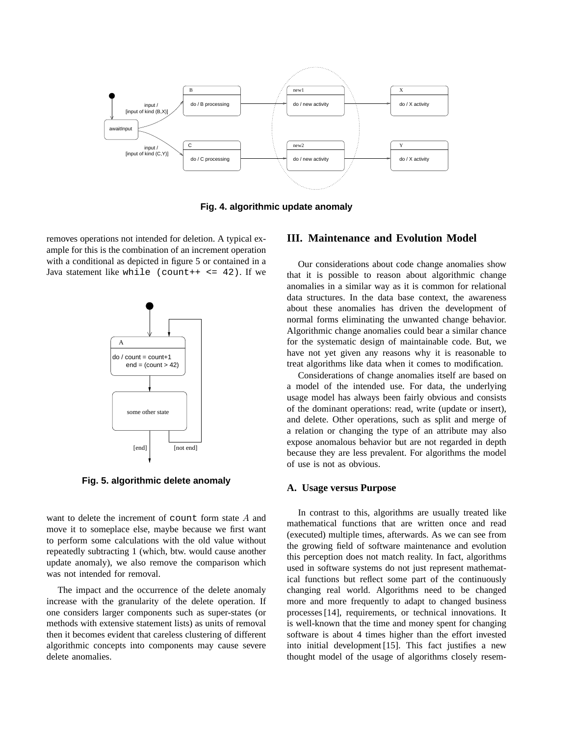

**Fig. 4. algorithmic update anomaly**

removes operations not intended for deletion. A typical example for this is the combination of an increment operation with a conditional as depicted in figure 5 or contained in a Java statement like while (count++  $\leq$  42). If we



**Fig. 5. algorithmic delete anomaly**

want to delete the increment of count form state A and move it to someplace else, maybe because we first want to perform some calculations with the old value without repeatedly subtracting 1 (which, btw. would cause another update anomaly), we also remove the comparison which was not intended for removal.

The impact and the occurrence of the delete anomaly increase with the granularity of the delete operation. If one considers larger components such as super-states (or methods with extensive statement lists) as units of removal then it becomes evident that careless clustering of different algorithmic concepts into components may cause severe delete anomalies.

### **III. Maintenance and Evolution Model**

Our considerations about code change anomalies show that it is possible to reason about algorithmic change anomalies in a similar way as it is common for relational data structures. In the data base context, the awareness about these anomalies has driven the development of normal forms eliminating the unwanted change behavior. Algorithmic change anomalies could bear a similar chance for the systematic design of maintainable code. But, we have not yet given any reasons why it is reasonable to treat algorithms like data when it comes to modification.

Considerations of change anomalies itself are based on a model of the intended use. For data, the underlying usage model has always been fairly obvious and consists of the dominant operations: read, write (update or insert), and delete. Other operations, such as split and merge of a relation or changing the type of an attribute may also expose anomalous behavior but are not regarded in depth because they are less prevalent. For algorithms the model of use is not as obvious.

#### **A. Usage versus Purpose**

In contrast to this, algorithms are usually treated like mathematical functions that are written once and read (executed) multiple times, afterwards. As we can see from the growing field of software maintenance and evolution this perception does not match reality. In fact, algorithms used in software systems do not just represent mathematical functions but reflect some part of the continuously changing real world. Algorithms need to be changed more and more frequently to adapt to changed business processes [14], requirements, or technical innovations. It is well-known that the time and money spent for changing software is about 4 times higher than the effort invested into initial development [15]. This fact justifies a new thought model of the usage of algorithms closely resem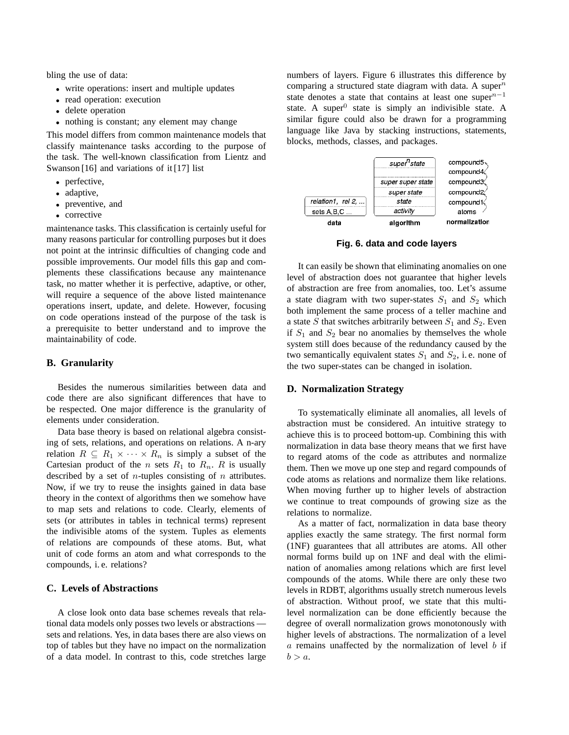bling the use of data:

- write operations: insert and multiple updates
- read operation: execution
- delete operation
- nothing is constant; any element may change

This model differs from common maintenance models that classify maintenance tasks according to the purpose of the task. The well-known classification from Lientz and Swanson [16] and variations of it [17] list

- perfective,
- adaptive,
- preventive, and
- corrective

maintenance tasks. This classification is certainly useful for many reasons particular for controlling purposes but it does not point at the intrinsic difficulties of changing code and possible improvements. Our model fills this gap and complements these classifications because any maintenance task, no matter whether it is perfective, adaptive, or other, will require a sequence of the above listed maintenance operations insert, update, and delete. However, focusing on code operations instead of the purpose of the task is a prerequisite to better understand and to improve the maintainability of code.

# **B. Granularity**

Besides the numerous similarities between data and code there are also significant differences that have to be respected. One major difference is the granularity of elements under consideration.

Data base theory is based on relational algebra consisting of sets, relations, and operations on relations. A n-ary relation  $R \subseteq R_1 \times \cdots \times R_n$  is simply a subset of the Cartesian product of the *n* sets  $R_1$  to  $R_n$ . R is usually described by a set of *n*-tuples consisting of *n* attributes. Now, if we try to reuse the insights gained in data base theory in the context of algorithms then we somehow have to map sets and relations to code. Clearly, elements of sets (or attributes in tables in technical terms) represent the indivisible atoms of the system. Tuples as elements of relations are compounds of these atoms. But, what unit of code forms an atom and what corresponds to the compounds, i. e. relations?

# **C. Levels of Abstractions**

A close look onto data base schemes reveals that relational data models only posses two levels or abstractions sets and relations. Yes, in data bases there are also views on top of tables but they have no impact on the normalization of a data model. In contrast to this, code stretches large numbers of layers. Figure 6 illustrates this difference by comparing a structured state diagram with data. A super $^n$ state denotes a state that contains at least one super $n-1$ state. A super $\sigma$  state is simply an indivisible state. A similar figure could also be drawn for a programming language like Java by stacking instructions, statements, blocks, methods, classes, and packages.



**Fig. 6. data and code layers**

It can easily be shown that eliminating anomalies on one level of abstraction does not guarantee that higher levels of abstraction are free from anomalies, too. Let's assume a state diagram with two super-states  $S_1$  and  $S_2$  which both implement the same process of a teller machine and a state S that switches arbitrarily between  $S_1$  and  $S_2$ . Even if  $S_1$  and  $S_2$  bear no anomalies by themselves the whole system still does because of the redundancy caused by the two semantically equivalent states  $S_1$  and  $S_2$ , i.e. none of the two super-states can be changed in isolation.

#### **D. Normalization Strategy**

To systematically eliminate all anomalies, all levels of abstraction must be considered. An intuitive strategy to achieve this is to proceed bottom-up. Combining this with normalization in data base theory means that we first have to regard atoms of the code as attributes and normalize them. Then we move up one step and regard compounds of code atoms as relations and normalize them like relations. When moving further up to higher levels of abstraction we continue to treat compounds of growing size as the relations to normalize.

As a matter of fact, normalization in data base theory applies exactly the same strategy. The first normal form (1NF) guarantees that all attributes are atoms. All other normal forms build up on 1NF and deal with the elimination of anomalies among relations which are first level compounds of the atoms. While there are only these two levels in RDBT, algorithms usually stretch numerous levels of abstraction. Without proof, we state that this multilevel normalization can be done efficiently because the degree of overall normalization grows monotonously with higher levels of abstractions. The normalization of a level  $a$  remains unaffected by the normalization of level  $b$  if  $b > a$ .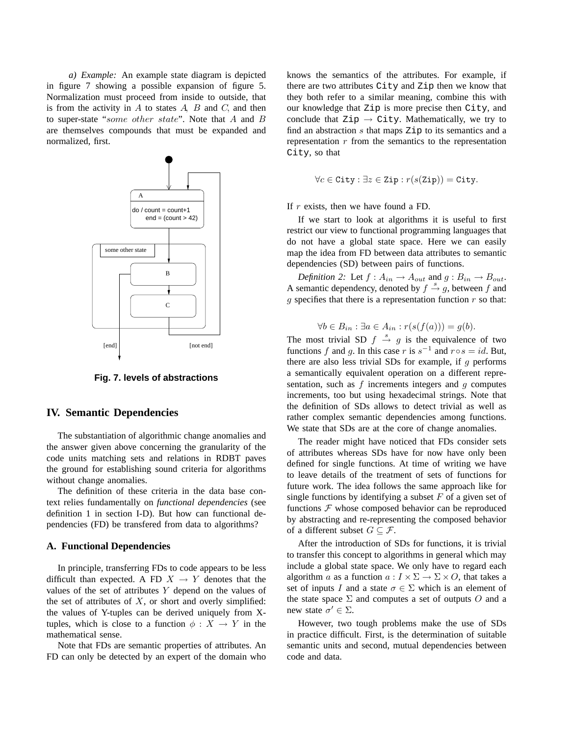*a) Example:* An example state diagram is depicted in figure 7 showing a possible expansion of figure 5. Normalization must proceed from inside to outside, that is from the activity in  $A$  to states  $A$ ,  $B$  and  $C$ , and then to super-state "some other state". Note that A and B are themselves compounds that must be expanded and normalized, first.



**Fig. 7. levels of abstractions**

# **IV. Semantic Dependencies**

The substantiation of algorithmic change anomalies and the answer given above concerning the granularity of the code units matching sets and relations in RDBT paves the ground for establishing sound criteria for algorithms without change anomalies.

The definition of these criteria in the data base context relies fundamentally on *functional dependencies* (see definition 1 in section I-D). But how can functional dependencies (FD) be transfered from data to algorithms?

#### **A. Functional Dependencies**

In principle, transferring FDs to code appears to be less difficult than expected. A FD  $X \rightarrow Y$  denotes that the values of the set of attributes Y depend on the values of the set of attributes of  $X$ , or short and overly simplified: the values of Y-tuples can be derived uniquely from Xtuples, which is close to a function  $\phi : X \to Y$  in the mathematical sense.

Note that FDs are semantic properties of attributes. An FD can only be detected by an expert of the domain who

knows the semantics of the attributes. For example, if there are two attributes City and Zip then we know that they both refer to a similar meaning, combine this with our knowledge that Zip is more precise then City, and conclude that  $\text{Zip} \rightarrow \text{City}$ . Mathematically, we try to find an abstraction  $s$  that maps  $\mathbb{Z}$  is to its semantics and a representation  $r$  from the semantics to the representation City, so that

$$
\forall c \in \texttt{City}: \exists z \in \texttt{Zip}: r(s(\texttt{Zip})) = \texttt{City}.
$$

If  $r$  exists, then we have found a FD.

If we start to look at algorithms it is useful to first restrict our view to functional programming languages that do not have a global state space. Here we can easily map the idea from FD between data attributes to semantic dependencies (SD) between pairs of functions.

*Definition 2:* Let  $f : A_{in} \to A_{out}$  and  $g : B_{in} \to B_{out}$ . A semantic dependency, denoted by  $f \stackrel{s}{\rightarrow} g$ , between f and  $g$  specifies that there is a representation function  $r$  so that:

 $\forall b \in B_{in} : \exists a \in A_{in} : r(s(f(a))) = g(b).$ 

The most trivial SD  $f \stackrel{s}{\rightarrow} g$  is the equivalence of two functions f and g. In this case r is  $s^{-1}$  and  $r \circ s = id$ . But, there are also less trivial SDs for example, if  $q$  performs a semantically equivalent operation on a different representation, such as f increments integers and  $q$  computes increments, too but using hexadecimal strings. Note that the definition of SDs allows to detect trivial as well as rather complex semantic dependencies among functions. We state that SDs are at the core of change anomalies.

The reader might have noticed that FDs consider sets of attributes whereas SDs have for now have only been defined for single functions. At time of writing we have to leave details of the treatment of sets of functions for future work. The idea follows the same approach like for single functions by identifying a subset  $F$  of a given set of functions  $F$  whose composed behavior can be reproduced by abstracting and re-representing the composed behavior of a different subset  $G \subseteq \mathcal{F}$ .

After the introduction of SDs for functions, it is trivial to transfer this concept to algorithms in general which may include a global state space. We only have to regard each algorithm a as a function  $a: I \times \Sigma \rightarrow \Sigma \times O$ , that takes a set of inputs I and a state  $\sigma \in \Sigma$  which is an element of the state space  $\Sigma$  and computes a set of outputs O and a new state  $\sigma' \in \Sigma$ .

However, two tough problems make the use of SDs in practice difficult. First, is the determination of suitable semantic units and second, mutual dependencies between code and data.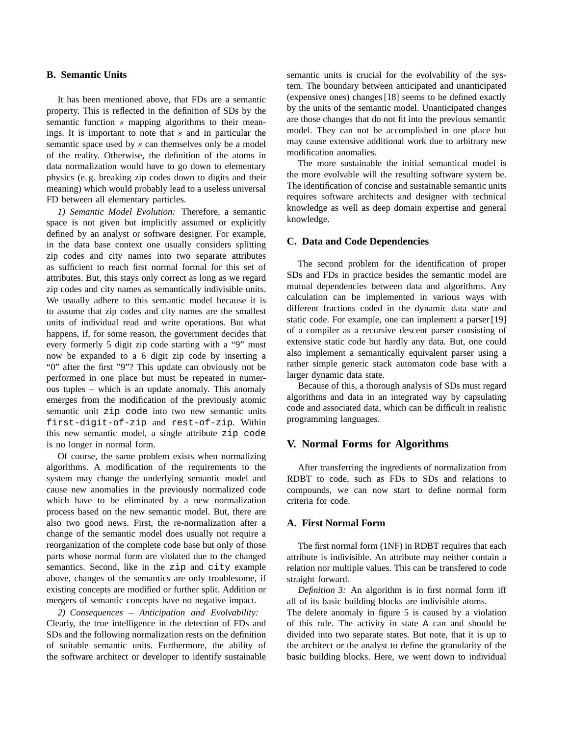## **B. Semantic Units**

It has been mentioned above, that FDs are a semantic property. This is reflected in the definition of SDs by the semantic function s mapping algorithms to their meanings. It is important to note that s and in particular the semantic space used by s can themselves only be a model of the reality. Otherwise, the definition of the atoms in data normalization would have to go down to elementary physics (e. g. breaking zip codes down to digits and their meaning) which would probably lead to a useless universal FD between all elementary particles.

*1) Semantic Model Evolution:* Therefore, a semantic space is not given but implicitly assumed or explicitly defined by an analyst or software designer. For example, in the data base context one usually considers splitting zip codes and city names into two separate attributes as sufficient to reach first normal formal for this set of attributes. But, this stays only correct as long as we regard zip codes and city names as semantically indivisible units. We usually adhere to this semantic model because it is to assume that zip codes and city names are the smallest units of individual read and write operations. But what happens, if, for some reason, the government decides that every formerly 5 digit zip code starting with a "9" must now be expanded to a 6 digit zip code by inserting a "0" after the first "9"? This update can obviously not be performed in one place but must be repeated in numerous tuples – which is an update anomaly. This anomaly emerges from the modification of the previously atomic semantic unit zip code into two new semantic units first-digit-of-zip and rest-of-zip. Within this new semantic model, a single attribute zip code is no longer in normal form.

Of course, the same problem exists when normalizing algorithms. A modification of the requirements to the system may change the underlying semantic model and cause new anomalies in the previously normalized code which have to be eliminated by a new normalization process based on the new semantic model. But, there are also two good news. First, the re-normalization after a change of the semantic model does usually not require a reorganization of the complete code base but only of those parts whose normal form are violated due to the changed semantics. Second, like in the zip and city example above, changes of the semantics are only troublesome, if existing concepts are modified or further split. Addition or mergers of semantic concepts have no negative impact.

*2) Consequences – Anticipation and Evolvability:* Clearly, the true intelligence in the detection of FDs and SDs and the following normalization rests on the definition of suitable semantic units. Furthermore, the ability of the software architect or developer to identify sustainable

semantic units is crucial for the evolvability of the system. The boundary between anticipated and unanticipated (expensive ones) changes [18] seems to be defined exactly by the units of the semantic model. Unanticipated changes are those changes that do not fit into the previous semantic model. They can not be accomplished in one place but may cause extensive additional work due to arbitrary new modification anomalies.

The more sustainable the initial semantical model is the more evolvable will the resulting software system be. The identification of concise and sustainable semantic units requires software architects and designer with technical knowledge as well as deep domain expertise and general knowledge.

## **C. Data and Code Dependencies**

The second problem for the identification of proper SDs and FDs in practice besides the semantic model are mutual dependencies between data and algorithms. Any calculation can be implemented in various ways with different fractions coded in the dynamic data state and static code. For example, one can implement a parser [19] of a compiler as a recursive descent parser consisting of extensive static code but hardly any data. But, one could also implement a semantically equivalent parser using a rather simple generic stack automaton code base with a larger dynamic data state.

Because of this, a thorough analysis of SDs must regard algorithms and data in an integrated way by capsulating code and associated data, which can be difficult in realistic programming languages.

# **V. Normal Forms for Algorithms**

After transferring the ingredients of normalization from RDBT to code, such as FDs to SDs and relations to compounds, we can now start to define normal form criteria for code.

### **A. First Normal Form**

The first normal form (1NF) in RDBT requires that each attribute is indivisible. An attribute may neither contain a relation nor multiple values. This can be transfered to code straight forward.

*Definition 3:* An algorithm is in first normal form iff all of its basic building blocks are indivisible atoms.

The delete anomaly in figure 5 is caused by a violation of this rule. The activity in state A can and should be divided into two separate states. But note, that it is up to the architect or the analyst to define the granularity of the basic building blocks. Here, we went down to individual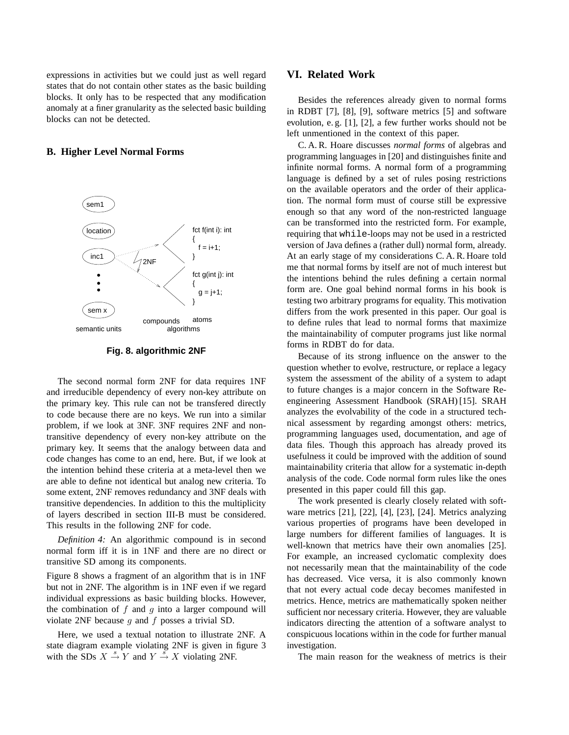expressions in activities but we could just as well regard states that do not contain other states as the basic building blocks. It only has to be respected that any modification anomaly at a finer granularity as the selected basic building blocks can not be detected.

### **B. Higher Level Normal Forms**



**Fig. 8. algorithmic 2NF**

The second normal form 2NF for data requires 1NF and irreducible dependency of every non-key attribute on the primary key. This rule can not be transfered directly to code because there are no keys. We run into a similar problem, if we look at 3NF. 3NF requires 2NF and nontransitive dependency of every non-key attribute on the primary key. It seems that the analogy between data and code changes has come to an end, here. But, if we look at the intention behind these criteria at a meta-level then we are able to define not identical but analog new criteria. To some extent, 2NF removes redundancy and 3NF deals with transitive dependencies. In addition to this the multiplicity of layers described in section III-B must be considered. This results in the following 2NF for code.

*Definition 4:* An algorithmic compound is in second normal form iff it is in 1NF and there are no direct or transitive SD among its components.

Figure 8 shows a fragment of an algorithm that is in 1NF but not in 2NF. The algorithm is in 1NF even if we regard individual expressions as basic building blocks. However, the combination of f and q into a larger compound will violate 2NF because  $g$  and  $f$  posses a trivial SD.

Here, we used a textual notation to illustrate 2NF. A state diagram example violating 2NF is given in figure 3 with the SDs  $X \stackrel{s}{\rightarrow} Y$  and  $Y \stackrel{s}{\rightarrow} X$  violating 2NF.

# **VI. Related Work**

Besides the references already given to normal forms in RDBT [7], [8], [9], software metrics [5] and software evolution, e. g. [1], [2], a few further works should not be left unmentioned in the context of this paper.

C. A. R. Hoare discusses *normal forms* of algebras and programming languages in [20] and distinguishes finite and infinite normal forms. A normal form of a programming language is defined by a set of rules posing restrictions on the available operators and the order of their application. The normal form must of course still be expressive enough so that any word of the non-restricted language can be transformed into the restricted form. For example, requiring that while-loops may not be used in a restricted version of Java defines a (rather dull) normal form, already. At an early stage of my considerations C. A. R. Hoare told me that normal forms by itself are not of much interest but the intentions behind the rules defining a certain normal form are. One goal behind normal forms in his book is testing two arbitrary programs for equality. This motivation differs from the work presented in this paper. Our goal is to define rules that lead to normal forms that maximize the maintainability of computer programs just like normal forms in RDBT do for data.

Because of its strong influence on the answer to the question whether to evolve, restructure, or replace a legacy system the assessment of the ability of a system to adapt to future changes is a major concern in the Software Reengineering Assessment Handbook (SRAH) [15]. SRAH analyzes the evolvability of the code in a structured technical assessment by regarding amongst others: metrics, programming languages used, documentation, and age of data files. Though this approach has already proved its usefulness it could be improved with the addition of sound maintainability criteria that allow for a systematic in-depth analysis of the code. Code normal form rules like the ones presented in this paper could fill this gap.

The work presented is clearly closely related with software metrics [21], [22], [4], [23], [24]. Metrics analyzing various properties of programs have been developed in large numbers for different families of languages. It is well-known that metrics have their own anomalies [25]. For example, an increased cyclomatic complexity does not necessarily mean that the maintainability of the code has decreased. Vice versa, it is also commonly known that not every actual code decay becomes manifested in metrics. Hence, metrics are mathematically spoken neither sufficient nor necessary criteria. However, they are valuable indicators directing the attention of a software analyst to conspicuous locations within in the code for further manual investigation.

The main reason for the weakness of metrics is their